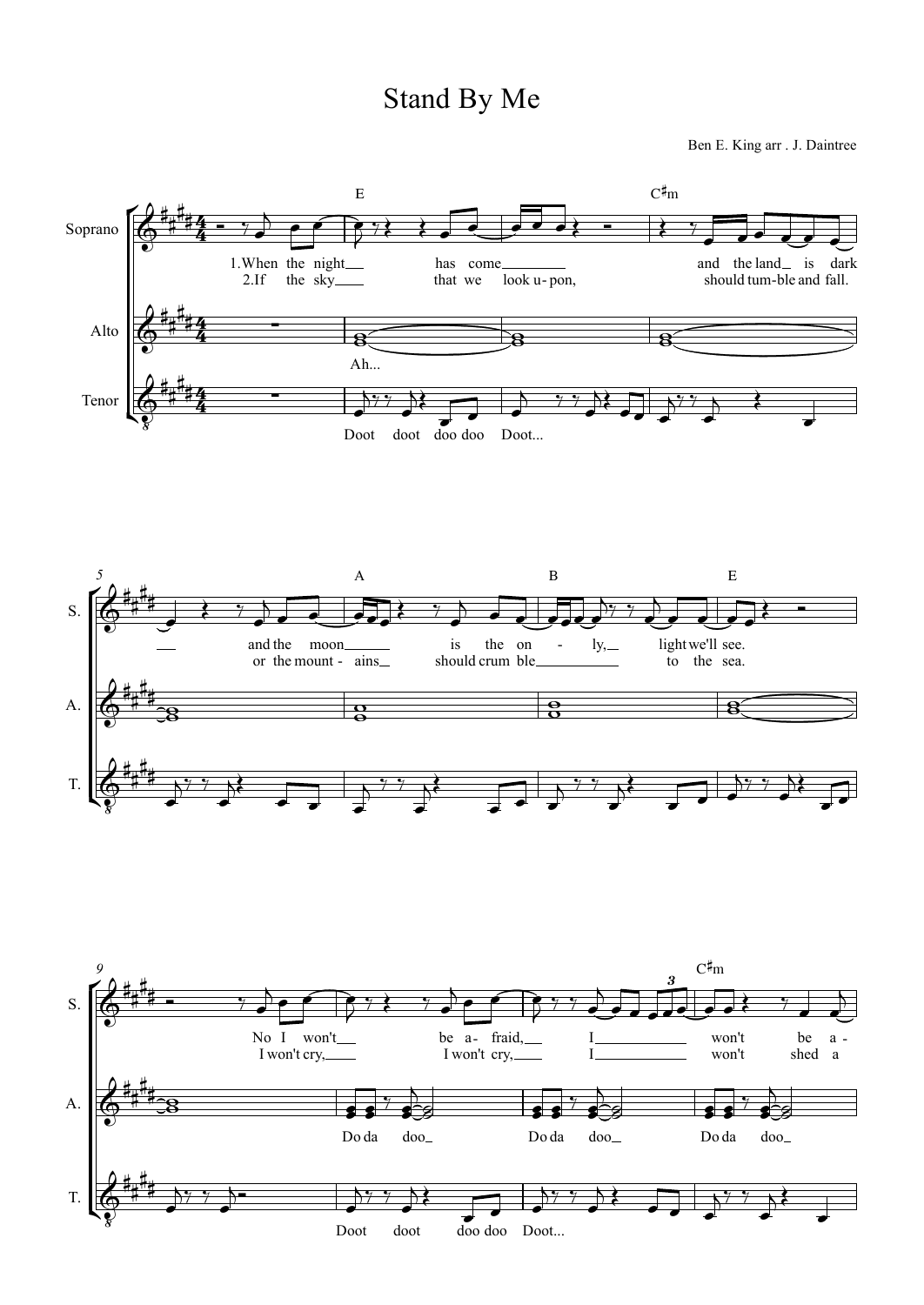## Stand By Me

Ben E. King arr . J. Daintree